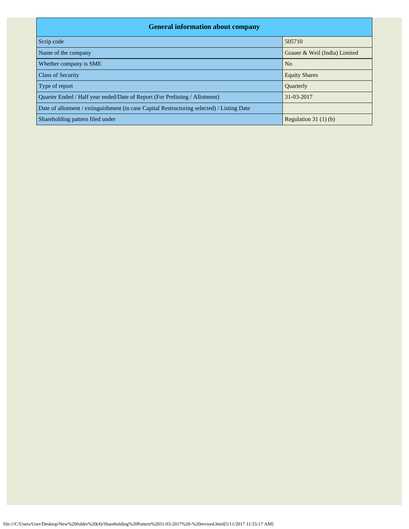| <b>General information about company</b>                                                   |                               |  |  |  |  |  |  |  |
|--------------------------------------------------------------------------------------------|-------------------------------|--|--|--|--|--|--|--|
| Scrip code                                                                                 | 505710                        |  |  |  |  |  |  |  |
| Name of the company                                                                        | Grauer & Weil (India) Limited |  |  |  |  |  |  |  |
| Whether company is SME                                                                     | N <sub>o</sub>                |  |  |  |  |  |  |  |
| <b>Class of Security</b>                                                                   | <b>Equity Shares</b>          |  |  |  |  |  |  |  |
| Type of report                                                                             | <b>Ouarterly</b>              |  |  |  |  |  |  |  |
| Ouarter Ended / Half year ended/Date of Report (For Prelisting / Allotment)                | 31-03-2017                    |  |  |  |  |  |  |  |
| Date of allotment / extinguishment (in case Capital Restructuring selected) / Listing Date |                               |  |  |  |  |  |  |  |
| Shareholding pattern filed under                                                           | Regulation $31(1)(b)$         |  |  |  |  |  |  |  |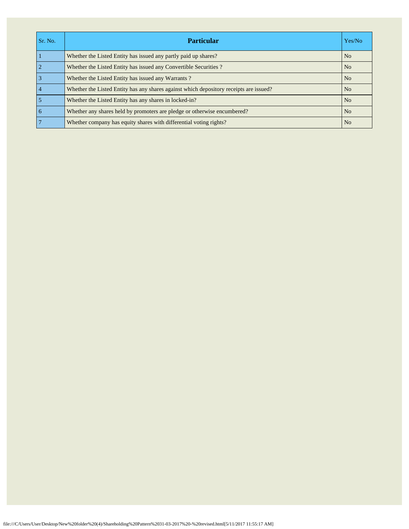| Sr. No.         | <b>Particular</b>                                                                      | Yes/No         |
|-----------------|----------------------------------------------------------------------------------------|----------------|
|                 | Whether the Listed Entity has issued any partly paid up shares?                        | N <sub>o</sub> |
| $\overline{2}$  | Whether the Listed Entity has issued any Convertible Securities?                       | N <sub>o</sub> |
| $\overline{3}$  | Whether the Listed Entity has issued any Warrants?                                     | N <sub>o</sub> |
| $\overline{4}$  | Whether the Listed Entity has any shares against which depository receipts are issued? | N <sub>o</sub> |
| 5               | Whether the Listed Entity has any shares in locked-in?                                 | N <sub>0</sub> |
| $\overline{6}$  | Whether any shares held by promoters are pledge or otherwise encumbered?               | N <sub>o</sub> |
| $7\phantom{.0}$ | Whether company has equity shares with differential voting rights?                     | N <sub>o</sub> |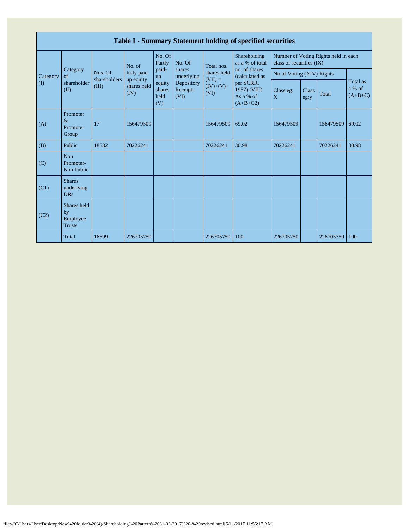|                       | Table I - Summary Statement holding of specified securities |                         |                         |                                 |                                |                                                               |                                                                                                                            |                                                                  |                      |           |                                 |  |  |
|-----------------------|-------------------------------------------------------------|-------------------------|-------------------------|---------------------------------|--------------------------------|---------------------------------------------------------------|----------------------------------------------------------------------------------------------------------------------------|------------------------------------------------------------------|----------------------|-----------|---------------------------------|--|--|
|                       |                                                             |                         | No. of                  | No. Of<br>Partly                | No. Of                         | Total nos.<br>shares held<br>$(VII) =$<br>$(IV)+(V)+$<br>(VI) | Shareholding<br>as a % of total<br>no. of shares<br>(calculated as<br>per SCRR,<br>1957) (VIII)<br>As a % of<br>$(A+B+C2)$ | Number of Voting Rights held in each<br>class of securities (IX) |                      |           |                                 |  |  |
| Category              | Category<br>of                                              | Nos. Of<br>shareholders | fully paid<br>up equity | paid-<br>up                     | shares<br>underlying           |                                                               |                                                                                                                            | No of Voting (XIV) Rights                                        |                      |           | Total as<br>a % of<br>$(A+B+C)$ |  |  |
| $\mathcal{L}(\Gamma)$ | shareholder<br>(II)                                         | (III)                   | shares held<br>(IV)     | equity<br>shares<br>held<br>(V) | Depository<br>Receipts<br>(VI) |                                                               |                                                                                                                            | Class eg:<br>X                                                   | <b>Class</b><br>eg:y | Total     |                                 |  |  |
| (A)                   | Promoter<br>$\&$<br>Promoter<br>Group                       | 17                      | 156479509               |                                 |                                | 156479509                                                     | 69.02                                                                                                                      | 156479509                                                        |                      | 156479509 | 69.02                           |  |  |
| (B)                   | Public                                                      | 18582                   | 70226241                |                                 |                                | 70226241                                                      | 30.98                                                                                                                      | 70226241                                                         |                      | 70226241  | 30.98                           |  |  |
| (C)                   | <b>Non</b><br>Promoter-<br>Non Public                       |                         |                         |                                 |                                |                                                               |                                                                                                                            |                                                                  |                      |           |                                 |  |  |
| (C1)                  | <b>Shares</b><br>underlying<br><b>DRs</b>                   |                         |                         |                                 |                                |                                                               |                                                                                                                            |                                                                  |                      |           |                                 |  |  |
| (C2)                  | Shares held<br>by<br>Employee<br><b>Trusts</b>              |                         |                         |                                 |                                |                                                               |                                                                                                                            |                                                                  |                      |           |                                 |  |  |
|                       | Total                                                       | 18599                   | 226705750               |                                 |                                | 226705750                                                     | 100                                                                                                                        | 226705750                                                        |                      | 226705750 | 100                             |  |  |

Г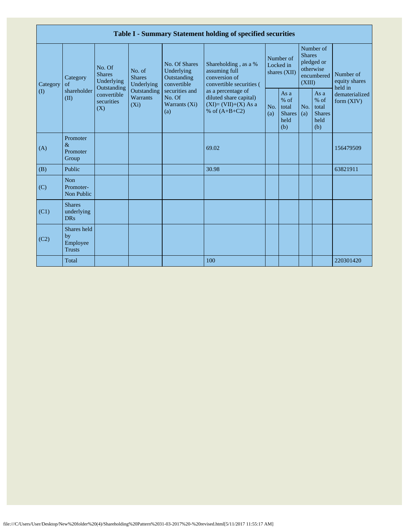|                         |                                                |                                                                                                     |                                       |                                                                                                               | Table I - Summary Statement holding of specified securities                                                                                                                    |                                        |                                                         |                                                                               |                                                       |                                       |
|-------------------------|------------------------------------------------|-----------------------------------------------------------------------------------------------------|---------------------------------------|---------------------------------------------------------------------------------------------------------------|--------------------------------------------------------------------------------------------------------------------------------------------------------------------------------|----------------------------------------|---------------------------------------------------------|-------------------------------------------------------------------------------|-------------------------------------------------------|---------------------------------------|
| Category<br>$($ $($ $)$ | Category<br>of<br>shareholder<br>(II)          | No. Of<br><b>Shares</b><br>Underlying<br>Outstanding<br>convertible<br>securities<br>$(X_i)$<br>(X) | No. of<br><b>Shares</b><br>Underlying | No. Of Shares<br>Underlying<br>Outstanding<br>convertible<br>securities and<br>No. Of<br>Warrants (Xi)<br>(a) | Shareholding, as a %<br>assuming full<br>conversion of<br>convertible securities (<br>as a percentage of<br>diluted share capital)<br>$(XI)=(VII)+(X) As a$<br>% of $(A+B+C2)$ | Number of<br>Locked in<br>shares (XII) |                                                         | Number of<br><b>Shares</b><br>pledged or<br>otherwise<br>encumbered<br>(XIII) |                                                       | Number of<br>equity shares<br>held in |
|                         |                                                |                                                                                                     | Outstanding<br><b>Warrants</b>        |                                                                                                               |                                                                                                                                                                                | No.<br>(a)                             | As a<br>$%$ of<br>total<br><b>Shares</b><br>held<br>(b) | No.<br>(a)                                                                    | As a<br>% of<br>total<br><b>Shares</b><br>held<br>(b) | dematerialized<br>form $(XIV)$        |
| (A)                     | Promoter<br>$\&$<br>Promoter<br>Group          |                                                                                                     |                                       |                                                                                                               | 69.02                                                                                                                                                                          |                                        |                                                         |                                                                               |                                                       | 156479509                             |
| (B)                     | Public                                         |                                                                                                     |                                       |                                                                                                               | 30.98                                                                                                                                                                          |                                        |                                                         |                                                                               |                                                       | 63821911                              |
| (C)                     | <b>Non</b><br>Promoter-<br>Non Public          |                                                                                                     |                                       |                                                                                                               |                                                                                                                                                                                |                                        |                                                         |                                                                               |                                                       |                                       |
| (C1)                    | <b>Shares</b><br>underlying<br><b>DRs</b>      |                                                                                                     |                                       |                                                                                                               |                                                                                                                                                                                |                                        |                                                         |                                                                               |                                                       |                                       |
| (C2)                    | Shares held<br>by<br>Employee<br><b>Trusts</b> |                                                                                                     |                                       |                                                                                                               |                                                                                                                                                                                |                                        |                                                         |                                                                               |                                                       |                                       |
|                         | Total                                          |                                                                                                     |                                       |                                                                                                               | 100                                                                                                                                                                            |                                        |                                                         |                                                                               |                                                       | 220301420                             |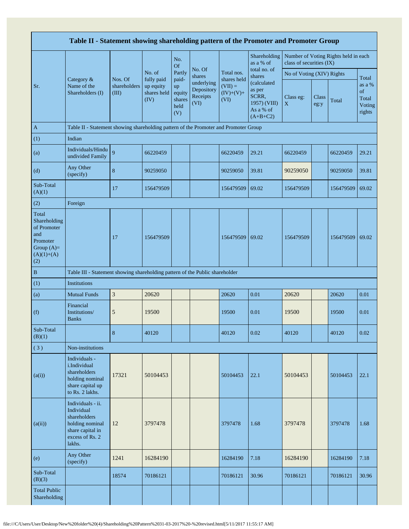|                                                                                                | Table II - Statement showing shareholding pattern of the Promoter and Promoter Group                                |                                  |                                                          |                                                |                                                                  |                                  |                                                                           |                           |               |                                      |                                           |
|------------------------------------------------------------------------------------------------|---------------------------------------------------------------------------------------------------------------------|----------------------------------|----------------------------------------------------------|------------------------------------------------|------------------------------------------------------------------|----------------------------------|---------------------------------------------------------------------------|---------------------------|---------------|--------------------------------------|-------------------------------------------|
|                                                                                                |                                                                                                                     |                                  |                                                          | No.<br><b>Of</b>                               |                                                                  |                                  | Shareholding<br>as a % of                                                 | class of securities (IX)  |               | Number of Voting Rights held in each |                                           |
|                                                                                                | Category &<br>Name of the<br>Shareholders (I)                                                                       | Nos. Of<br>shareholders<br>(III) | No. of<br>fully paid<br>up equity<br>shares held<br>(IV) | Partly                                         | No. Of<br>shares<br>underlying<br>Depository<br>Receipts<br>(VI) | Total nos.<br>shares held        | total no. of<br>shares                                                    | No of Voting (XIV) Rights |               |                                      | Total                                     |
| Sr.                                                                                            |                                                                                                                     |                                  |                                                          | paid-<br>up<br>equity<br>shares<br>held<br>(V) |                                                                  | $(VII) =$<br>$(IV)+(V)+$<br>(VI) | (calculated<br>as per<br>SCRR,<br>1957) (VIII)<br>As a % of<br>$(A+B+C2)$ | Class eg:<br>$\mathbf X$  | Class<br>eg:y | Total                                | as a %<br>of<br>Total<br>Voting<br>rights |
| $\mathbf{A}$                                                                                   | Table II - Statement showing shareholding pattern of the Promoter and Promoter Group                                |                                  |                                                          |                                                |                                                                  |                                  |                                                                           |                           |               |                                      |                                           |
| (1)                                                                                            | Indian                                                                                                              |                                  |                                                          |                                                |                                                                  |                                  |                                                                           |                           |               |                                      |                                           |
| (a)                                                                                            | Individuals/Hindu<br>undivided Family                                                                               | 9                                | 66220459                                                 |                                                |                                                                  | 66220459                         | 29.21                                                                     | 66220459                  |               | 66220459                             | 29.21                                     |
| (d)                                                                                            | Any Other<br>(specify)                                                                                              | $\bf 8$                          | 90259050                                                 |                                                |                                                                  | 90259050                         | 39.81                                                                     | 90259050                  |               | 90259050                             | 39.81                                     |
| Sub-Total<br>(A)(1)                                                                            |                                                                                                                     | 17                               | 156479509                                                |                                                |                                                                  | 156479509                        | 69.02                                                                     | 156479509                 |               | 156479509                            | 69.02                                     |
| (2)                                                                                            | Foreign                                                                                                             |                                  |                                                          |                                                |                                                                  |                                  |                                                                           |                           |               |                                      |                                           |
| Total<br>Shareholding<br>of Promoter<br>and<br>Promoter<br>Group $(A)=$<br>$(A)(1)+(A)$<br>(2) |                                                                                                                     | 17                               | 156479509                                                |                                                |                                                                  | 156479509                        | 69.02                                                                     | 156479509                 |               | 156479509                            | 69.02                                     |
| $\, {\bf B}$                                                                                   | Table III - Statement showing shareholding pattern of the Public shareholder                                        |                                  |                                                          |                                                |                                                                  |                                  |                                                                           |                           |               |                                      |                                           |
| (1)                                                                                            | Institutions                                                                                                        |                                  |                                                          |                                                |                                                                  |                                  |                                                                           |                           |               |                                      |                                           |
| (a)                                                                                            | <b>Mutual Funds</b>                                                                                                 | $\mathfrak z$                    | 20620                                                    |                                                |                                                                  | 20620                            | 0.01                                                                      | 20620                     |               | 20620                                | 0.01                                      |
| (f)                                                                                            | Financial<br>Institutions/<br><b>Banks</b>                                                                          | $\sqrt{5}$                       | 19500                                                    |                                                |                                                                  | 19500                            | 0.01                                                                      | 19500                     |               | 19500                                | 0.01                                      |
| Sub-Total<br>(B)(1)                                                                            |                                                                                                                     | 8                                | 40120                                                    |                                                |                                                                  | 40120                            | 0.02                                                                      | 40120                     |               | 40120                                | 0.02                                      |
| (3)                                                                                            | Non-institutions                                                                                                    |                                  |                                                          |                                                |                                                                  |                                  |                                                                           |                           |               |                                      |                                           |
| (a(i))                                                                                         | Individuals -<br>i.Individual<br>shareholders<br>holding nominal<br>share capital up<br>to Rs. 2 lakhs.             | 17321                            | 50104453                                                 |                                                |                                                                  | 50104453                         | 22.1                                                                      | 50104453                  |               | 50104453                             | 22.1                                      |
| (a(ii))                                                                                        | Individuals - ii.<br>Individual<br>shareholders<br>holding nominal<br>share capital in<br>excess of Rs. 2<br>lakhs. | 12                               | 3797478                                                  |                                                |                                                                  | 3797478                          | 1.68                                                                      | 3797478                   |               | 3797478                              | 1.68                                      |
| (e)                                                                                            | Any Other<br>(specify)                                                                                              | 1241                             | 16284190                                                 |                                                |                                                                  | 16284190                         | 7.18                                                                      | 16284190                  |               | 16284190                             | 7.18                                      |
| Sub-Total<br>(B)(3)                                                                            |                                                                                                                     | 18574                            | 70186121                                                 |                                                |                                                                  | 70186121                         | 30.96                                                                     | 70186121                  |               | 70186121                             | 30.96                                     |
| <b>Total Public</b><br>Shareholding                                                            |                                                                                                                     |                                  |                                                          |                                                |                                                                  |                                  |                                                                           |                           |               |                                      |                                           |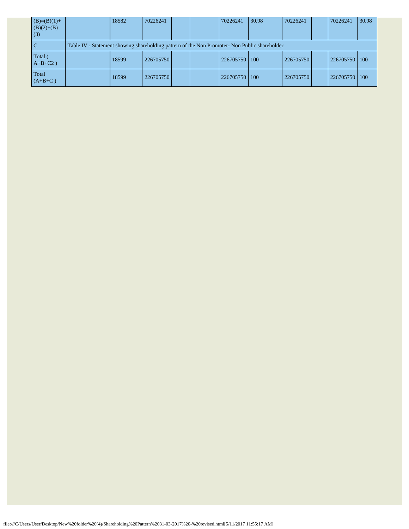| $(B)=(B)(1)+$<br>$(B)(2)+(B)$<br>(3) | 18582                                                                                         | 70226241  |  |  | 70226241  | 30.98 | 70226241  |  | 70226241  | 30.98      |  |
|--------------------------------------|-----------------------------------------------------------------------------------------------|-----------|--|--|-----------|-------|-----------|--|-----------|------------|--|
|                                      | Table IV - Statement showing shareholding pattern of the Non Promoter- Non Public shareholder |           |  |  |           |       |           |  |           |            |  |
| Total (<br>$A+B+C2$ )                | 18599                                                                                         | 226705750 |  |  | 226705750 | 100   | 226705750 |  | 226705750 | <b>100</b> |  |
| Total<br>$(A+B+C)$                   | 18599                                                                                         | 226705750 |  |  | 226705750 | 100   | 226705750 |  | 226705750 | 100        |  |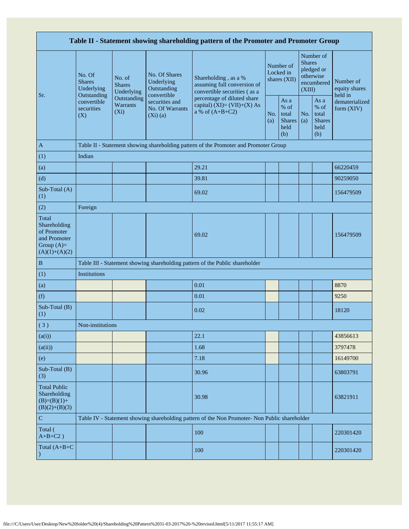|                                                                                         | Table II - Statement showing shareholding pattern of the Promoter and Promoter Group |                                                                                                   |                                            |                                                                                               |                                        |                                                         |                                                                               |                                                         |                                       |  |  |  |
|-----------------------------------------------------------------------------------------|--------------------------------------------------------------------------------------|---------------------------------------------------------------------------------------------------|--------------------------------------------|-----------------------------------------------------------------------------------------------|----------------------------------------|---------------------------------------------------------|-------------------------------------------------------------------------------|---------------------------------------------------------|---------------------------------------|--|--|--|
|                                                                                         | No. Of<br><b>Shares</b><br>Underlying                                                | No. of<br><b>Shares</b><br>Underlying                                                             | No. Of Shares<br>Underlying<br>Outstanding | Shareholding, as a %<br>assuming full conversion of<br>convertible securities (as a           | Number of<br>Locked in<br>shares (XII) |                                                         | Number of<br><b>Shares</b><br>pledged or<br>otherwise<br>encumbered<br>(XIII) |                                                         | Number of<br>equity shares<br>held in |  |  |  |
| Sr.                                                                                     | Outstanding<br>convertible<br>securities<br>(X)                                      | convertible<br>Outstanding<br>securities and<br>Warrants<br>No. Of Warrants<br>$(X_i)$<br>(Xi)(a) |                                            | percentage of diluted share<br>capital) $(XI)=(VII)+(X) As$<br>a % of $(A+B+C2)$              |                                        | As a<br>$%$ of<br>total<br><b>Shares</b><br>held<br>(b) | No.<br>(a)                                                                    | As a<br>$%$ of<br>total<br><b>Shares</b><br>held<br>(b) | dematerialized<br>form $(XIV)$        |  |  |  |
| $\mathbf{A}$                                                                            |                                                                                      |                                                                                                   |                                            | Table II - Statement showing shareholding pattern of the Promoter and Promoter Group          |                                        |                                                         |                                                                               |                                                         |                                       |  |  |  |
| (1)                                                                                     | Indian                                                                               |                                                                                                   |                                            |                                                                                               |                                        |                                                         |                                                                               |                                                         |                                       |  |  |  |
| (a)                                                                                     |                                                                                      |                                                                                                   |                                            | 29.21                                                                                         |                                        |                                                         |                                                                               |                                                         | 66220459                              |  |  |  |
| (d)                                                                                     |                                                                                      |                                                                                                   |                                            | 39.81                                                                                         |                                        |                                                         |                                                                               |                                                         | 90259050                              |  |  |  |
| Sub-Total (A)<br>(1)                                                                    |                                                                                      |                                                                                                   |                                            | 69.02                                                                                         |                                        |                                                         |                                                                               |                                                         | 156479509                             |  |  |  |
| (2)                                                                                     | Foreign                                                                              |                                                                                                   |                                            |                                                                                               |                                        |                                                         |                                                                               |                                                         |                                       |  |  |  |
| Total<br>Shareholding<br>of Promoter<br>and Promoter<br>Group $(A)=$<br>$(A)(1)+(A)(2)$ |                                                                                      |                                                                                                   |                                            | 69.02                                                                                         |                                        |                                                         |                                                                               |                                                         | 156479509                             |  |  |  |
| $\, {\bf B}$                                                                            |                                                                                      |                                                                                                   |                                            | Table III - Statement showing shareholding pattern of the Public shareholder                  |                                        |                                                         |                                                                               |                                                         |                                       |  |  |  |
| (1)                                                                                     | Institutions                                                                         |                                                                                                   |                                            |                                                                                               |                                        |                                                         |                                                                               |                                                         |                                       |  |  |  |
| (a)                                                                                     |                                                                                      |                                                                                                   |                                            | 0.01                                                                                          |                                        |                                                         |                                                                               |                                                         | 8870                                  |  |  |  |
| (f)                                                                                     |                                                                                      |                                                                                                   |                                            | 0.01                                                                                          |                                        |                                                         |                                                                               |                                                         | 9250                                  |  |  |  |
| Sub-Total (B)<br>(1)                                                                    |                                                                                      |                                                                                                   |                                            | 0.02                                                                                          |                                        |                                                         |                                                                               |                                                         | 18120                                 |  |  |  |
| (3)                                                                                     | Non-institutions                                                                     |                                                                                                   |                                            |                                                                                               |                                        |                                                         |                                                                               |                                                         |                                       |  |  |  |
| (a(i))                                                                                  |                                                                                      |                                                                                                   |                                            | 22.1                                                                                          |                                        |                                                         |                                                                               |                                                         | 43856613                              |  |  |  |
| (a(ii))                                                                                 |                                                                                      |                                                                                                   |                                            | 1.68                                                                                          |                                        |                                                         |                                                                               |                                                         | 3797478                               |  |  |  |
| (e)                                                                                     |                                                                                      |                                                                                                   |                                            | 7.18                                                                                          |                                        |                                                         |                                                                               |                                                         | 16149700                              |  |  |  |
| Sub-Total (B)<br>(3)                                                                    |                                                                                      |                                                                                                   |                                            | 30.96                                                                                         |                                        |                                                         |                                                                               |                                                         | 63803791                              |  |  |  |
| <b>Total Public</b><br>Shareholding<br>$(B)=(B)(1)+$<br>$(B)(2)+(B)(3)$                 |                                                                                      |                                                                                                   |                                            | 30.98                                                                                         |                                        |                                                         |                                                                               |                                                         | 63821911                              |  |  |  |
| ${\bf C}$                                                                               |                                                                                      |                                                                                                   |                                            | Table IV - Statement showing shareholding pattern of the Non Promoter- Non Public shareholder |                                        |                                                         |                                                                               |                                                         |                                       |  |  |  |
| Total (<br>$A+B+C2$ )                                                                   |                                                                                      |                                                                                                   |                                            | 100                                                                                           |                                        |                                                         |                                                                               |                                                         | 220301420                             |  |  |  |
| Total $(A+B+C)$                                                                         |                                                                                      |                                                                                                   |                                            | 100                                                                                           |                                        |                                                         |                                                                               |                                                         | 220301420                             |  |  |  |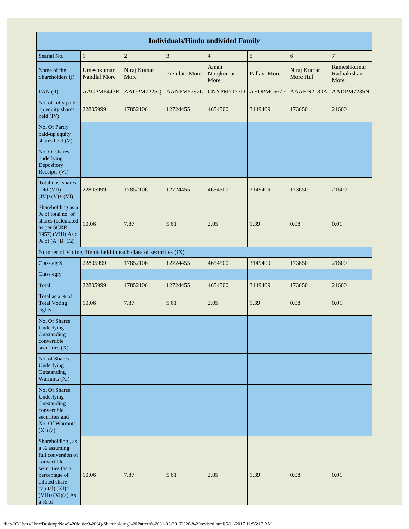|                                                                                                                                                                                 | <b>Individuals/Hindu undivided Family</b> |                                                               |                |                            |              |                         |                                    |  |  |  |  |  |
|---------------------------------------------------------------------------------------------------------------------------------------------------------------------------------|-------------------------------------------|---------------------------------------------------------------|----------------|----------------------------|--------------|-------------------------|------------------------------------|--|--|--|--|--|
| Searial No.                                                                                                                                                                     | $\mathbf{1}$                              | $\overline{2}$                                                | $\mathfrak{Z}$ | $\overline{4}$             | $\sqrt{5}$   | 6                       | $\boldsymbol{7}$                   |  |  |  |  |  |
| Name of the<br>Shareholders (I)                                                                                                                                                 | Umeshkumar<br><b>Nandlal More</b>         | Niraj Kumar<br>More                                           | Premlata More  | Aman<br>Nirajkumar<br>More | Pallavi More | Niraj Kumar<br>More Huf | Rameshkumar<br>Radhakishan<br>More |  |  |  |  |  |
| PAN(II)                                                                                                                                                                         | AACPM6443R                                | AADPM7225Q                                                    | AANPM5792L     | CNYPM7177D                 | AEDPM0567P   | AAAHN2180A              | AADPM7235N                         |  |  |  |  |  |
| No. of fully paid<br>up equity shares<br>held (IV)                                                                                                                              | 22805999                                  | 17852106                                                      | 12724455       | 4654500                    | 3149409      | 173650                  | 21600                              |  |  |  |  |  |
| No. Of Partly<br>paid-up equity<br>shares held (V)                                                                                                                              |                                           |                                                               |                |                            |              |                         |                                    |  |  |  |  |  |
| No. Of shares<br>underlying<br>Depository<br>Receipts (VI)                                                                                                                      |                                           |                                                               |                |                            |              |                         |                                    |  |  |  |  |  |
| Total nos. shares<br>held $(VII) =$<br>$(IV)+(V)+(VI)$                                                                                                                          | 22805999                                  | 17852106                                                      | 12724455       | 4654500                    | 3149409      | 173650                  | 21600                              |  |  |  |  |  |
| Shareholding as a<br>% of total no. of<br>shares (calculated<br>as per SCRR,<br>1957) (VIII) As a<br>% of $(A+B+C2)$                                                            | 10.06                                     | 7.87                                                          | 5.61           | 2.05                       | 1.39         | 0.08                    | 0.01                               |  |  |  |  |  |
|                                                                                                                                                                                 |                                           | Number of Voting Rights held in each class of securities (IX) |                |                            |              |                         |                                    |  |  |  |  |  |
| Class eg:X                                                                                                                                                                      | 22805999                                  | 17852106                                                      | 12724455       | 4654500                    | 3149409      | 173650                  | 21600                              |  |  |  |  |  |
| Class eg:y                                                                                                                                                                      |                                           |                                                               |                |                            |              |                         |                                    |  |  |  |  |  |
| Total                                                                                                                                                                           | 22805999                                  | 17852106                                                      | 12724455       | 4654500                    | 3149409      | 173650                  | 21600                              |  |  |  |  |  |
| Total as a % of<br><b>Total Voting</b><br>rights                                                                                                                                | 10.06                                     | 7.87                                                          | 5.61           | 2.05                       | 1.39         | 0.08                    | 0.01                               |  |  |  |  |  |
| No. Of Shares<br>Underlying<br>Outstanding<br>convertible<br>securities $(X)$                                                                                                   |                                           |                                                               |                |                            |              |                         |                                    |  |  |  |  |  |
| No. of Shares<br>Underlying<br>Outstanding<br>Warrants (Xi)                                                                                                                     |                                           |                                                               |                |                            |              |                         |                                    |  |  |  |  |  |
| No. Of Shares<br>Underlying<br>Outstanding<br>convertible<br>securities and<br>No. Of Warrants<br>$(Xi)$ $(a)$                                                                  |                                           |                                                               |                |                            |              |                         |                                    |  |  |  |  |  |
| Shareholding, as<br>a % assuming<br>full conversion of<br>convertible<br>securities (as a<br>percentage of<br>diluted share<br>capital) $(XI)=$<br>$(VII)+(Xi)(a) As$<br>a % of | 10.06                                     | 7.87                                                          | 5.61           | 2.05                       | 1.39         | 0.08                    | 0.01                               |  |  |  |  |  |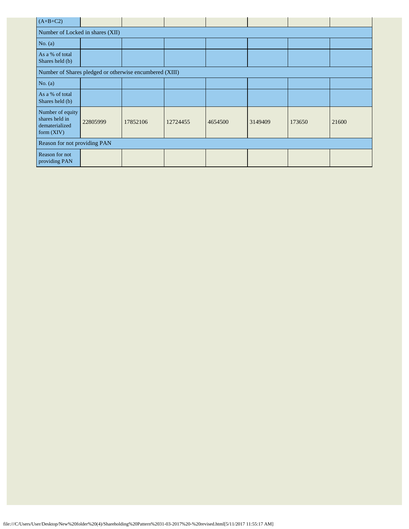| $(A+B+C2)$                                                           |          |          |          |         |         |        |       |  |  |  |  |
|----------------------------------------------------------------------|----------|----------|----------|---------|---------|--------|-------|--|--|--|--|
| Number of Locked in shares (XII)                                     |          |          |          |         |         |        |       |  |  |  |  |
| No. $(a)$                                                            |          |          |          |         |         |        |       |  |  |  |  |
| As a % of total<br>Shares held (b)                                   |          |          |          |         |         |        |       |  |  |  |  |
| Number of Shares pledged or otherwise encumbered (XIII)              |          |          |          |         |         |        |       |  |  |  |  |
| No. $(a)$                                                            |          |          |          |         |         |        |       |  |  |  |  |
| As a % of total<br>Shares held (b)                                   |          |          |          |         |         |        |       |  |  |  |  |
| Number of equity<br>shares held in<br>dematerialized<br>form $(XIV)$ | 22805999 | 17852106 | 12724455 | 4654500 | 3149409 | 173650 | 21600 |  |  |  |  |
| Reason for not providing PAN                                         |          |          |          |         |         |        |       |  |  |  |  |
| Reason for not<br>providing PAN                                      |          |          |          |         |         |        |       |  |  |  |  |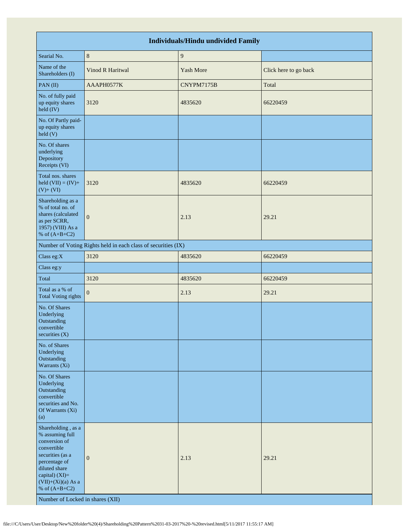|                                                                                                                                                                                                                              |                                                               | <b>Individuals/Hindu undivided Family</b> |                       |
|------------------------------------------------------------------------------------------------------------------------------------------------------------------------------------------------------------------------------|---------------------------------------------------------------|-------------------------------------------|-----------------------|
| Searial No.                                                                                                                                                                                                                  | $\,8\,$                                                       | $\overline{9}$                            |                       |
| Name of the<br>Shareholders (I)                                                                                                                                                                                              | Vinod R Haritwal                                              | Yash More                                 | Click here to go back |
| PAN(II)                                                                                                                                                                                                                      | AAAPH0577K                                                    | CNYPM7175B                                | Total                 |
| No. of fully paid<br>up equity shares<br>$\text{held (IV)}$                                                                                                                                                                  | 3120                                                          | 4835620                                   | 66220459              |
| No. Of Partly paid-<br>up equity shares<br>held (V)                                                                                                                                                                          |                                                               |                                           |                       |
| No. Of shares<br>underlying<br>Depository<br>Receipts (VI)                                                                                                                                                                   |                                                               |                                           |                       |
| Total nos. shares<br>held $(VII) = (IV) +$<br>$(V) + (VI)$                                                                                                                                                                   | 3120                                                          | 4835620                                   | 66220459              |
| Shareholding as a<br>% of total no. of<br>shares (calculated<br>as per SCRR,<br>1957) (VIII) As a<br>% of $(A+B+C2)$                                                                                                         | $\overline{0}$                                                | 2.13                                      | 29.21                 |
|                                                                                                                                                                                                                              | Number of Voting Rights held in each class of securities (IX) |                                           |                       |
| Class eg:X                                                                                                                                                                                                                   | 3120                                                          | 4835620                                   | 66220459              |
| Class eg:y                                                                                                                                                                                                                   |                                                               |                                           |                       |
| Total                                                                                                                                                                                                                        | 3120                                                          | 4835620                                   | 66220459              |
| Total as a % of<br><b>Total Voting rights</b>                                                                                                                                                                                | $\overline{0}$                                                | 2.13                                      | 29.21                 |
| No. Of Shares<br>Underlying<br>Outstanding<br>convertible<br>securities (X)                                                                                                                                                  |                                                               |                                           |                       |
| No. of Shares<br>Underlying<br>Outstanding<br>Warrants (Xi)                                                                                                                                                                  |                                                               |                                           |                       |
| No. Of Shares<br>Underlying<br>Outstanding<br>convertible<br>securities and No.<br>Of Warrants (Xi)<br>(a)                                                                                                                   |                                                               |                                           |                       |
| Shareholding, as a<br>% assuming full<br>conversion of<br>convertible<br>securities (as a<br>percentage of<br>diluted share<br>capital) (XI)=<br>$(VII)+(Xi)(a)$ As a<br>% of $(A+B+C2)$<br>Number of Locked in shares (XII) | $\mathbf{0}$                                                  | 2.13                                      | 29.21                 |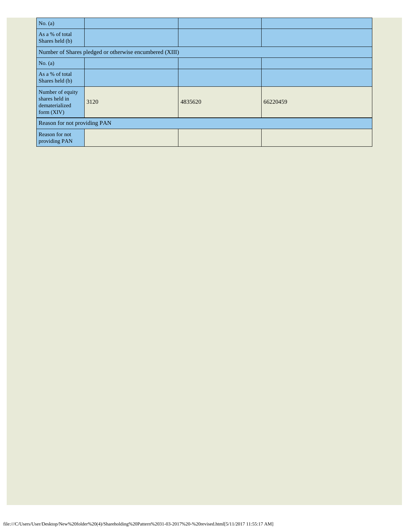| No. $(a)$                                                            |                                                         |         |          |
|----------------------------------------------------------------------|---------------------------------------------------------|---------|----------|
| As a % of total<br>Shares held (b)                                   |                                                         |         |          |
|                                                                      | Number of Shares pledged or otherwise encumbered (XIII) |         |          |
| No. $(a)$                                                            |                                                         |         |          |
| As a % of total<br>Shares held (b)                                   |                                                         |         |          |
| Number of equity<br>shares held in<br>dematerialized<br>form $(XIV)$ | 3120                                                    | 4835620 | 66220459 |
| Reason for not providing PAN                                         |                                                         |         |          |
| Reason for not<br>providing PAN                                      |                                                         |         |          |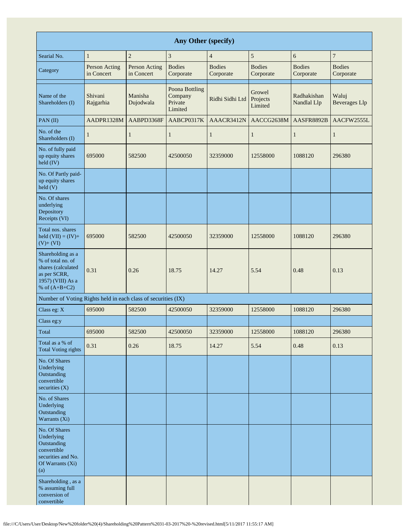| Any Other (specify)                                                                                                  |                             |                             |                                                        |                            |                               |                            |                               |  |  |  |  |
|----------------------------------------------------------------------------------------------------------------------|-----------------------------|-----------------------------|--------------------------------------------------------|----------------------------|-------------------------------|----------------------------|-------------------------------|--|--|--|--|
| Searial No.                                                                                                          | $\mathbf{1}$                | $\overline{c}$              | 3                                                      | $\overline{4}$             | 5                             | 6                          | $\boldsymbol{7}$              |  |  |  |  |
| Category                                                                                                             | Person Acting<br>in Concert | Person Acting<br>in Concert | <b>Bodies</b><br>Corporate                             | <b>Bodies</b><br>Corporate | <b>Bodies</b><br>Corporate    | <b>Bodies</b><br>Corporate | <b>Bodies</b><br>Corporate    |  |  |  |  |
| Name of the<br>Shareholders (I)                                                                                      | Shivani<br>Rajgarhia        | Manisha<br>Dujodwala        | <b>Poona Bottling</b><br>Company<br>Private<br>Limited | Ridhi Sidhi Ltd            | Growel<br>Projects<br>Limited | Radhakishan<br>Nandlal Llp | Waluj<br><b>Beverages</b> Llp |  |  |  |  |
| PAN(II)                                                                                                              | AADPR1328M                  | AABPD3368F                  | AABCP0317K                                             | AAACR3412N                 | AACCG2638M                    | AASFR8892B                 | AACFW2555L                    |  |  |  |  |
| No. of the<br>Shareholders (I)                                                                                       | 1                           | $\mathbf{1}$                | $\mathbf{1}$                                           | 1                          | 1                             | $\mathbf{1}$               | $\mathbf{1}$                  |  |  |  |  |
| No. of fully paid<br>up equity shares<br>$\text{held (IV)}$                                                          | 695000                      | 582500                      | 42500050                                               | 32359000                   | 12558000                      | 1088120                    | 296380                        |  |  |  |  |
| No. Of Partly paid-<br>up equity shares<br>$\text{held}$ (V)                                                         |                             |                             |                                                        |                            |                               |                            |                               |  |  |  |  |
| No. Of shares<br>underlying<br>Depository<br>Receipts (VI)                                                           |                             |                             |                                                        |                            |                               |                            |                               |  |  |  |  |
| Total nos. shares<br>held $(VII) = (IV) +$<br>$(V)+(VI)$                                                             | 695000                      | 582500                      | 42500050                                               | 32359000                   | 12558000                      | 1088120                    | 296380                        |  |  |  |  |
| Shareholding as a<br>% of total no. of<br>shares (calculated<br>as per SCRR,<br>1957) (VIII) As a<br>% of $(A+B+C2)$ | 0.31                        | 0.26                        | 18.75                                                  | 14.27                      | 5.54                          | 0.48                       | 0.13                          |  |  |  |  |
| Number of Voting Rights held in each class of securities (IX)                                                        |                             |                             |                                                        |                            |                               |                            |                               |  |  |  |  |
| Class eg: X                                                                                                          | 695000                      | 582500                      | 42500050                                               | 32359000                   | 12558000                      | 1088120                    | 296380                        |  |  |  |  |
| Class eg:y                                                                                                           |                             |                             |                                                        |                            |                               |                            |                               |  |  |  |  |
| Total                                                                                                                | 695000                      | 582500                      | 42500050                                               | 32359000                   | 12558000                      | 1088120                    | 296380                        |  |  |  |  |
| Total as a % of<br><b>Total Voting rights</b>                                                                        | 0.31                        | 0.26                        | 18.75                                                  | 14.27                      | 5.54                          | 0.48                       | 0.13                          |  |  |  |  |
| No. Of Shares<br>Underlying<br>Outstanding<br>convertible<br>securities $(X)$                                        |                             |                             |                                                        |                            |                               |                            |                               |  |  |  |  |
| No. of Shares<br>Underlying<br>Outstanding<br>Warrants (Xi)                                                          |                             |                             |                                                        |                            |                               |                            |                               |  |  |  |  |
| No. Of Shares<br>Underlying<br>Outstanding<br>convertible<br>securities and No.<br>Of Warrants (Xi)<br>(a)           |                             |                             |                                                        |                            |                               |                            |                               |  |  |  |  |
| Shareholding, as a<br>% assuming full<br>conversion of<br>convertible                                                |                             |                             |                                                        |                            |                               |                            |                               |  |  |  |  |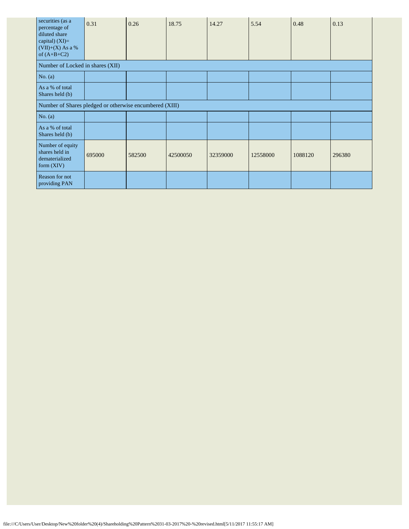| securities (as a<br>percentage of<br>diluted share<br>capital) $(XI)=$<br>$(VII)+(X)$ As a %<br>of $(A+B+C2)$ | 0.31                                                    | 0.26   | 18.75    | 14.27    | 5.54     | 0.48    | 0.13   |  |  |
|---------------------------------------------------------------------------------------------------------------|---------------------------------------------------------|--------|----------|----------|----------|---------|--------|--|--|
| Number of Locked in shares (XII)                                                                              |                                                         |        |          |          |          |         |        |  |  |
| No. $(a)$                                                                                                     |                                                         |        |          |          |          |         |        |  |  |
| As a % of total<br>Shares held (b)                                                                            |                                                         |        |          |          |          |         |        |  |  |
|                                                                                                               | Number of Shares pledged or otherwise encumbered (XIII) |        |          |          |          |         |        |  |  |
| No. $(a)$                                                                                                     |                                                         |        |          |          |          |         |        |  |  |
| As a % of total<br>Shares held (b)                                                                            |                                                         |        |          |          |          |         |        |  |  |
| Number of equity<br>shares held in<br>dematerialized<br>form $(XIV)$                                          | 695000                                                  | 582500 | 42500050 | 32359000 | 12558000 | 1088120 | 296380 |  |  |
| Reason for not<br>providing PAN                                                                               |                                                         |        |          |          |          |         |        |  |  |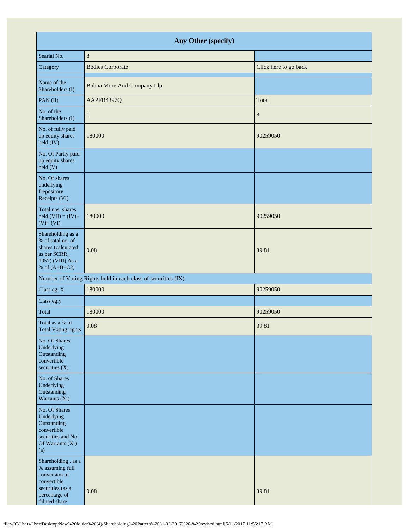| Any Other (specify)                                                                                                         |                                                               |                       |  |  |  |  |  |  |
|-----------------------------------------------------------------------------------------------------------------------------|---------------------------------------------------------------|-----------------------|--|--|--|--|--|--|
| Searial No.                                                                                                                 | $\,8\,$                                                       |                       |  |  |  |  |  |  |
| Category                                                                                                                    | <b>Bodies Corporate</b>                                       | Click here to go back |  |  |  |  |  |  |
| Name of the<br>Shareholders (I)                                                                                             | <b>Bubna More And Company Llp</b>                             |                       |  |  |  |  |  |  |
| PAN(II)                                                                                                                     | AAPFB4397Q                                                    | Total                 |  |  |  |  |  |  |
| No. of the<br>Shareholders (I)                                                                                              | 1                                                             | $8\phantom{1}$        |  |  |  |  |  |  |
| No. of fully paid<br>up equity shares<br>held (IV)                                                                          | 180000                                                        | 90259050              |  |  |  |  |  |  |
| No. Of Partly paid-<br>up equity shares<br>held(V)                                                                          |                                                               |                       |  |  |  |  |  |  |
| No. Of shares<br>underlying<br>Depository<br>Receipts (VI)                                                                  |                                                               |                       |  |  |  |  |  |  |
| Total nos. shares<br>held $(VII) = (IV) +$<br>$(V)+(VI)$                                                                    | 180000                                                        | 90259050              |  |  |  |  |  |  |
| Shareholding as a<br>% of total no. of<br>shares (calculated<br>as per SCRR,<br>1957) (VIII) As a<br>% of $(A+B+C2)$        | 0.08                                                          | 39.81                 |  |  |  |  |  |  |
|                                                                                                                             | Number of Voting Rights held in each class of securities (IX) |                       |  |  |  |  |  |  |
| Class eg: X                                                                                                                 | 180000                                                        | 90259050              |  |  |  |  |  |  |
| Class eg:y                                                                                                                  |                                                               |                       |  |  |  |  |  |  |
| Total                                                                                                                       | 180000                                                        | 90259050              |  |  |  |  |  |  |
| Total as a % of<br>Total Voting rights                                                                                      | 0.08                                                          | 39.81                 |  |  |  |  |  |  |
| No. Of Shares<br>Underlying<br>Outstanding<br>convertible<br>securities $(X)$                                               |                                                               |                       |  |  |  |  |  |  |
| No. of Shares<br>Underlying<br>Outstanding<br>Warrants (Xi)                                                                 |                                                               |                       |  |  |  |  |  |  |
| No. Of Shares<br>Underlying<br>Outstanding<br>convertible<br>securities and No.<br>Of Warrants (Xi)<br>(a)                  |                                                               |                       |  |  |  |  |  |  |
| Shareholding, as a<br>% assuming full<br>conversion of<br>convertible<br>securities (as a<br>percentage of<br>diluted share | 0.08                                                          | 39.81                 |  |  |  |  |  |  |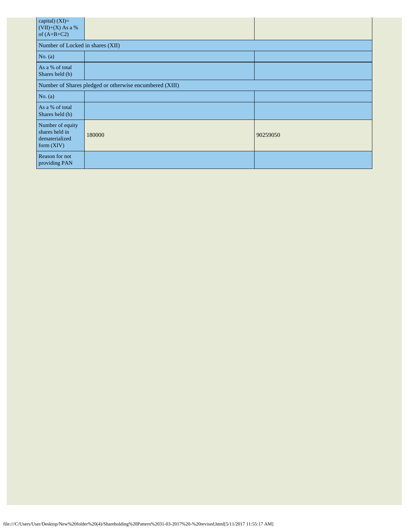| capital) (XI)=<br>$(VII)+(X)$ As a %<br>of $(A+B+C2)$                |                                  |          |  |  |  |  |  |  |
|----------------------------------------------------------------------|----------------------------------|----------|--|--|--|--|--|--|
|                                                                      | Number of Locked in shares (XII) |          |  |  |  |  |  |  |
| No. $(a)$                                                            |                                  |          |  |  |  |  |  |  |
| As a % of total<br>Shares held (b)                                   |                                  |          |  |  |  |  |  |  |
| Number of Shares pledged or otherwise encumbered (XIII)              |                                  |          |  |  |  |  |  |  |
| No. (a)                                                              |                                  |          |  |  |  |  |  |  |
| As a % of total<br>Shares held (b)                                   |                                  |          |  |  |  |  |  |  |
| Number of equity<br>shares held in<br>dematerialized<br>form $(XIV)$ | 180000                           | 90259050 |  |  |  |  |  |  |
| Reason for not<br>providing PAN                                      |                                  |          |  |  |  |  |  |  |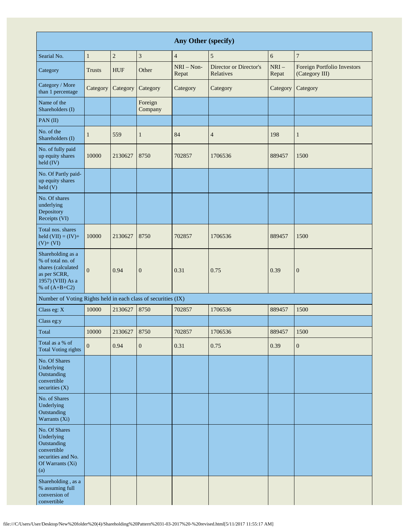| Any Other (specify)                                                                                                  |               |                |                    |                       |                                     |                 |                                               |
|----------------------------------------------------------------------------------------------------------------------|---------------|----------------|--------------------|-----------------------|-------------------------------------|-----------------|-----------------------------------------------|
| Searial No.                                                                                                          | $\mathbf{1}$  | $\overline{c}$ | 3                  | $\overline{4}$        | 5                                   | 6               | $\overline{7}$                                |
| Category                                                                                                             | <b>Trusts</b> | <b>HUF</b>     | Other              | $NRI - Non-$<br>Repat | Director or Director's<br>Relatives | $NRI-$<br>Repat | Foreign Portfolio Investors<br>(Category III) |
| Category / More<br>than 1 percentage                                                                                 | Category      | Category       | Category           | Category              | Category                            | Category        | Category                                      |
| Name of the<br>Shareholders (I)                                                                                      |               |                | Foreign<br>Company |                       |                                     |                 |                                               |
| PAN(II)                                                                                                              |               |                |                    |                       |                                     |                 |                                               |
| No. of the<br>Shareholders (I)                                                                                       | $\mathbf{1}$  | 559            | $\mathbf{1}$       | 84                    | $\overline{4}$                      | 198             | $\mathbf{1}$                                  |
| No. of fully paid<br>up equity shares<br>held (IV)                                                                   | 10000         | 2130627        | 8750               | 702857                | 1706536                             | 889457          | 1500                                          |
| No. Of Partly paid-<br>up equity shares<br>held(V)                                                                   |               |                |                    |                       |                                     |                 |                                               |
| No. Of shares<br>underlying<br>Depository<br>Receipts (VI)                                                           |               |                |                    |                       |                                     |                 |                                               |
| Total nos. shares<br>held $(VII) = (IV) +$<br>$(V)$ + $(VI)$                                                         | 10000         | 2130627        | 8750               | 702857                | 1706536                             | 889457          | 1500                                          |
| Shareholding as a<br>% of total no. of<br>shares (calculated<br>as per SCRR,<br>1957) (VIII) As a<br>% of $(A+B+C2)$ | $\theta$      | 0.94           | $\boldsymbol{0}$   | 0.31                  | 0.75                                | 0.39            | $\mathbf{0}$                                  |
| Number of Voting Rights held in each class of securities (IX)                                                        |               |                |                    |                       |                                     |                 |                                               |
| Class eg: X                                                                                                          | 10000         | 2130627        | 8750               | 702857                | 1706536                             | 889457          | 1500                                          |
| Class eg:y                                                                                                           |               |                |                    |                       |                                     |                 |                                               |
| Total                                                                                                                | 10000         | 2130627        | 8750               | 702857                | 1706536                             | 889457          | 1500                                          |
| Total as a % of<br><b>Total Voting rights</b>                                                                        | $\mathbf{0}$  | 0.94           | $\boldsymbol{0}$   | 0.31                  | 0.75                                | 0.39            | $\boldsymbol{0}$                              |
| No. Of Shares<br>Underlying<br>Outstanding<br>convertible<br>securities (X)                                          |               |                |                    |                       |                                     |                 |                                               |
| No. of Shares<br>Underlying<br>Outstanding<br>Warrants (Xi)                                                          |               |                |                    |                       |                                     |                 |                                               |
| No. Of Shares<br>Underlying<br>Outstanding<br>convertible<br>securities and No.<br>Of Warrants (Xi)<br>(a)           |               |                |                    |                       |                                     |                 |                                               |
| Shareholding, as a<br>% assuming full<br>conversion of<br>convertible                                                |               |                |                    |                       |                                     |                 |                                               |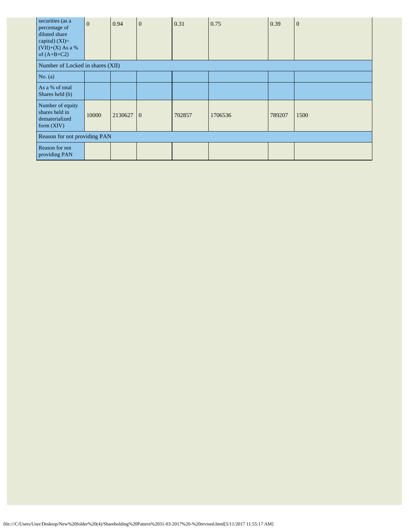| securities (as a<br>percentage of<br>diluted share<br>capital) $(XI)=$<br>$(VII)+(X)$ As a %<br>of $(A+B+C2)$ | $\overline{0}$ | 0.94    | $\mathbf{0}$   | 0.31   | 0.75    | 0.39   | $\theta$ |
|---------------------------------------------------------------------------------------------------------------|----------------|---------|----------------|--------|---------|--------|----------|
| Number of Locked in shares (XII)                                                                              |                |         |                |        |         |        |          |
| No. $(a)$                                                                                                     |                |         |                |        |         |        |          |
| As a % of total<br>Shares held (b)                                                                            |                |         |                |        |         |        |          |
| Number of equity<br>shares held in<br>dematerialized<br>form $(XIV)$                                          | 10000          | 2130627 | $\overline{0}$ | 702857 | 1706536 | 789207 | 1500     |
| Reason for not providing PAN                                                                                  |                |         |                |        |         |        |          |
| Reason for not<br>providing PAN                                                                               |                |         |                |        |         |        |          |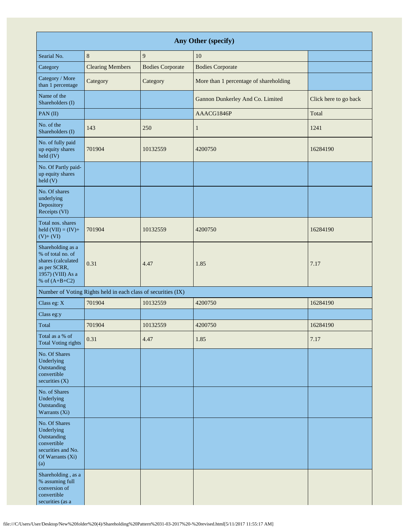| Any Other (specify)                                                                                                  |                                                               |                         |                                        |                       |  |  |  |
|----------------------------------------------------------------------------------------------------------------------|---------------------------------------------------------------|-------------------------|----------------------------------------|-----------------------|--|--|--|
| Searial No.                                                                                                          | $\,8\,$                                                       | $\mathbf{9}$            | 10                                     |                       |  |  |  |
| Category                                                                                                             | <b>Clearing Members</b>                                       | <b>Bodies Corporate</b> | <b>Bodies Corporate</b>                |                       |  |  |  |
| Category / More<br>than 1 percentage                                                                                 | Category                                                      | Category                | More than 1 percentage of shareholding |                       |  |  |  |
| Name of the<br>Shareholders (I)                                                                                      |                                                               |                         | Gannon Dunkerley And Co. Limited       | Click here to go back |  |  |  |
| PAN(II)                                                                                                              |                                                               |                         | AAACG1846P                             | Total                 |  |  |  |
| No. of the<br>Shareholders (I)                                                                                       | 143                                                           | 250                     | $\mathbf{1}$                           | 1241                  |  |  |  |
| No. of fully paid<br>up equity shares<br>held (IV)                                                                   | 701904                                                        | 10132559                | 4200750                                | 16284190              |  |  |  |
| No. Of Partly paid-<br>up equity shares<br>held (V)                                                                  |                                                               |                         |                                        |                       |  |  |  |
| No. Of shares<br>underlying<br>Depository<br>Receipts (VI)                                                           |                                                               |                         |                                        |                       |  |  |  |
| Total nos. shares<br>held $(VII) = (IV) +$<br>$(V)$ + $(VI)$                                                         | 701904                                                        | 10132559                | 4200750                                | 16284190              |  |  |  |
| Shareholding as a<br>% of total no. of<br>shares (calculated<br>as per SCRR,<br>1957) (VIII) As a<br>% of $(A+B+C2)$ | 0.31                                                          | 4.47                    | 1.85                                   | 7.17                  |  |  |  |
|                                                                                                                      | Number of Voting Rights held in each class of securities (IX) |                         |                                        |                       |  |  |  |
| Class eg: X                                                                                                          | 701904                                                        | 10132559                | 4200750                                | 16284190              |  |  |  |
| Class eg:y                                                                                                           |                                                               |                         |                                        |                       |  |  |  |
| Total                                                                                                                | 701904                                                        | 10132559                | 4200750                                | 16284190              |  |  |  |
| Total as a % of<br><b>Total Voting rights</b>                                                                        | 0.31                                                          | 4.47                    | 1.85                                   | 7.17                  |  |  |  |
| No. Of Shares<br>Underlying<br>Outstanding<br>convertible<br>securities (X)                                          |                                                               |                         |                                        |                       |  |  |  |
| No. of Shares<br>Underlying<br>Outstanding<br>Warrants (Xi)                                                          |                                                               |                         |                                        |                       |  |  |  |
| No. Of Shares<br>Underlying<br>Outstanding<br>convertible<br>securities and No.<br>Of Warrants (Xi)<br>(a)           |                                                               |                         |                                        |                       |  |  |  |
| Shareholding, as a<br>% assuming full<br>conversion of<br>convertible<br>securities (as a                            |                                                               |                         |                                        |                       |  |  |  |